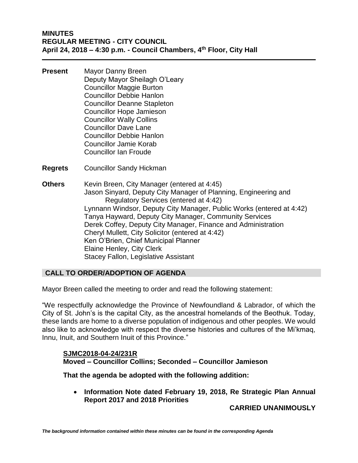- **Present** Mayor Danny Breen Deputy Mayor Sheilagh O'Leary Councillor Maggie Burton Councillor Debbie Hanlon Councillor Deanne Stapleton Councillor Hope Jamieson Councillor Wally Collins Councillor Dave Lane Councillor Debbie Hanlon Councillor Jamie Korab Councillor Ian Froude
- **Regrets** Councillor Sandy Hickman
- **Others** Kevin Breen, City Manager (entered at 4:45) Jason Sinyard, Deputy City Manager of Planning, Engineering and Regulatory Services (entered at 4:42) Lynnann Windsor, Deputy City Manager, Public Works (entered at 4:42) Tanya Hayward, Deputy City Manager, Community Services Derek Coffey, Deputy City Manager, Finance and Administration Cheryl Mullett, City Solicitor (entered at 4:42) Ken O'Brien, Chief Municipal Planner Elaine Henley, City Clerk Stacey Fallon, Legislative Assistant

# **CALL TO ORDER/ADOPTION OF AGENDA**

Mayor Breen called the meeting to order and read the following statement:

"We respectfully acknowledge the Province of Newfoundland & Labrador, of which the City of St. John's is the capital City, as the ancestral homelands of the Beothuk. Today, these lands are home to a diverse population of indigenous and other peoples. We would also like to acknowledge with respect the diverse histories and cultures of the Mi'kmaq, Innu, Inuit, and Southern Inuit of this Province."

# **SJMC2018-04-24/231R Moved – Councillor Collins; Seconded – Councillor Jamieson**

**That the agenda be adopted with the following addition:** 

• **Information Note dated February 19, 2018, Re Strategic Plan Annual Report 2017 and 2018 Priorities**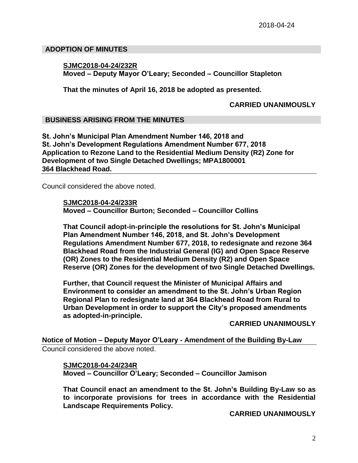### **ADOPTION OF MINUTES**

### **SJMC2018-04-24/232R Moved – Deputy Mayor O'Leary; Seconded – Councillor Stapleton**

**That the minutes of April 16, 2018 be adopted as presented.**

### **CARRIED UNANIMOUSLY**

# **BUSINESS ARISING FROM THE MINUTES**

**St. John's Municipal Plan Amendment Number 146, 2018 and St. John's Development Regulations Amendment Number 677, 2018 Application to Rezone Land to the Residential Medium Density (R2) Zone for Development of two Single Detached Dwellings; MPA1800001 364 Blackhead Road.** 

Council considered the above noted.

**SJMC2018-04-24/233R Moved – Councillor Burton; Seconded – Councillor Collins**

**That Council adopt-in-principle the resolutions for St. John's Municipal Plan Amendment Number 146, 2018, and St. John's Development Regulations Amendment Number 677, 2018, to redesignate and rezone 364 Blackhead Road from the Industrial General (IG) and Open Space Reserve (OR) Zones to the Residential Medium Density (R2) and Open Space Reserve (OR) Zones for the development of two Single Detached Dwellings.**

**Further, that Council request the Minister of Municipal Affairs and Environment to consider an amendment to the St. John's Urban Region Regional Plan to redesignate land at 364 Blackhead Road from Rural to Urban Development in order to support the City's proposed amendments as adopted-in-principle.**

# **CARRIED UNANIMOUSLY**

**Notice of Motion – Deputy Mayor O'Leary - Amendment of the Building By-Law** Council considered the above noted.

**SJMC2018-04-24/234R Moved – Councillor O'Leary; Seconded – Councillor Jamison**

**That Council enact an amendment to the St. John's Building By-Law so as to incorporate provisions for trees in accordance with the Residential Landscape Requirements Policy.**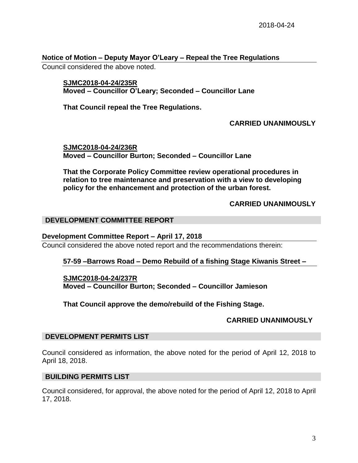# **Notice of Motion – Deputy Mayor O'Leary – Repeal the Tree Regulations**

Council considered the above noted.

# **SJMC2018-04-24/235R Moved – Councillor O'Leary; Seconded – Councillor Lane**

**That Council repeal the Tree Regulations.**

# **CARRIED UNANIMOUSLY**

**SJMC2018-04-24/236R Moved – Councillor Burton; Seconded – Councillor Lane**

**That the Corporate Policy Committee review operational procedures in relation to tree maintenance and preservation with a view to developing policy for the enhancement and protection of the urban forest.** 

# **CARRIED UNANIMOUSLY**

# **DEVELOPMENT COMMITTEE REPORT**

#### **Development Committee Report – April 17, 2018**

Council considered the above noted report and the recommendations therein:

# **57-59 –Barrows Road – Demo Rebuild of a fishing Stage Kiwanis Street –**

#### **SJMC2018-04-24/237R**

**Moved – Councillor Burton; Seconded – Councillor Jamieson**

**That Council approve the demo/rebuild of the Fishing Stage.**

# **CARRIED UNANIMOUSLY**

#### **DEVELOPMENT PERMITS LIST**

Council considered as information, the above noted for the period of April 12, 2018 to April 18, 2018.

# **BUILDING PERMITS LIST**

Council considered, for approval, the above noted for the period of April 12, 2018 to April 17, 2018.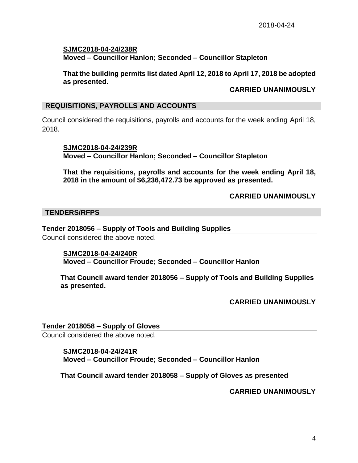**SJMC2018-04-24/238R Moved – Councillor Hanlon; Seconded – Councillor Stapleton**

**That the building permits list dated April 12, 2018 to April 17, 2018 be adopted as presented.**

### **CARRIED UNANIMOUSLY**

### **REQUISITIONS, PAYROLLS AND ACCOUNTS**

Council considered the requisitions, payrolls and accounts for the week ending April 18, 2018.

**SJMC2018-04-24/239R Moved – Councillor Hanlon; Seconded – Councillor Stapleton**

**That the requisitions, payrolls and accounts for the week ending April 18, 2018 in the amount of \$6,236,472.73 be approved as presented.**

# **CARRIED UNANIMOUSLY**

### **TENDERS/RFPS**

#### **Tender 2018056 – Supply of Tools and Building Supplies**

Council considered the above noted.

**SJMC2018-04-24/240R Moved – Councillor Froude; Seconded – Councillor Hanlon**

**That Council award tender 2018056 – Supply of Tools and Building Supplies as presented.**

**CARRIED UNANIMOUSLY**

### **Tender 2018058 – Supply of Gloves**

Council considered the above noted.

#### **SJMC2018-04-24/241R**

**Moved – Councillor Froude; Seconded – Councillor Hanlon**

**That Council award tender 2018058 – Supply of Gloves as presented**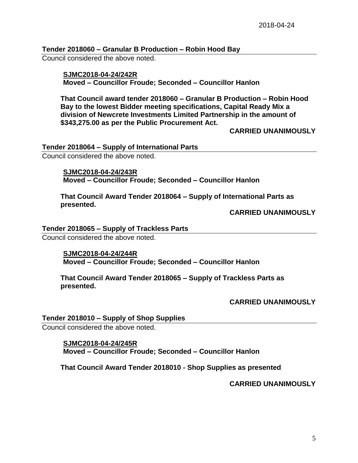# **Tender 2018060 – Granular B Production – Robin Hood Bay**

Council considered the above noted.

# **SJMC2018-04-24/242R Moved – Councillor Froude; Seconded – Councillor Hanlon**

**That Council award tender 2018060 – Granular B Production – Robin Hood Bay to the lowest Bidder meeting specifications, Capital Ready Mix a division of Newcrete Investments Limited Partnership in the amount of \$343,275.00 as per the Public Procurement Act.**

**CARRIED UNANIMOUSLY**

### **Tender 2018064 – Supply of International Parts**

Council considered the above noted.

### **SJMC2018-04-24/243R**

**Moved – Councillor Froude; Seconded – Councillor Hanlon**

**That Council Award Tender 2018064 – Supply of International Parts as presented.** 

**CARRIED UNANIMOUSLY**

# **Tender 2018065 – Supply of Trackless Parts**

Council considered the above noted.

# **SJMC2018-04-24/244R Moved – Councillor Froude; Seconded – Councillor Hanlon**

**That Council Award Tender 2018065 – Supply of Trackless Parts as presented.**

# **CARRIED UNANIMOUSLY**

# **Tender 2018010 – Supply of Shop Supplies**

Council considered the above noted.

# **SJMC2018-04-24/245R Moved – Councillor Froude; Seconded – Councillor Hanlon**

# **That Council Award Tender 2018010 - Shop Supplies as presented**